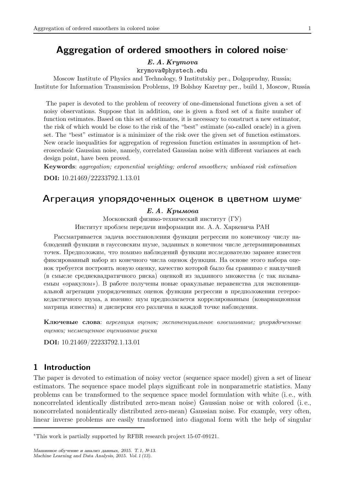# Aggregation of ordered smoothers in colored noise<sup>∗</sup>

#### E. A. Krymova

krymova@phystech.edu

Moscow Institute of Physics and Technology, 9 Institutskiy per., Dolgoprudny, Russia; Institute for Information Transmission Problems, 19 Bolshoy Karetny per., build 1, Moscow, Russia

The paper is devoted to the problem of recovery of one-dimensional functions given a set of noisy observations. Suppose that in addition, one is given a fixed set of a finite number of function estimates. Based on this set of estimates, it is necessary to construct a new estimator, the risk of which would be close to the risk of the "best" estimate (so-called oracle) in a given set. The "best" estimator is a minimizer of the risk over the given set of function estimators. New oracle inequalities for aggregation of regression function estimates in assumption of heteroscedasic Gaussian noise, namely, correlated Gaussian noise with different variances at each design point, have been proved.

Keywords: aggregation; exponential weighting; ordered smoothers; unbiased risk estimation

DOI: 10.21469/22233792.1.13.01

# Агрегация упорядоченных оценок в цветном шуме<sup>∗</sup>

#### Е. А. Крымова

Московский физико-технический институт (ГУ)

Институт проблем передачи информации им. А. А. Харкевича РАН

Рассматривается задача восстановления функции регрессии по конечному числу наблюдений функции в гауссовским шуме, заданных в конечном числе детерминированных точек. Предположим, что помимо наблюдений функции исследователю заранее известен фиксированный набор из конечного числа оценок функции. На основе этого набора оценок требуется построить новую оценку, качество которой было бы сравнимо с наилучшей (в смысле среднеквадратичного риска) оценкой из заданного множества (c так называемым «оракулом»). В работе получены новые оракульные неравенства для экспоненциальной агрегации упорядоченных оценок функции регрессии в предположении гетероскедастичного шума, а именно: шум предполагается коррелированным (ковариационная матрица известна) и дисперсия его различна в каждой точке наблюдения.

Ключевые слова: агрегация оценок; экспоненциальное взвешивание; упорядоченные оценки; несмещенное оценивание риска

DOI: 10.21469/22233792.1.13.01

# 1 Introduction

The paper is devoted to estimation of noisy vector (sequence space model) given a set of linear estimators. The sequence space model plays significant role in nonparametric statistics. Many problems can be transformed to the sequence space model formulation with white (i. e., with noncorrelated identically distributed zero-mean noise) Gaussian noise or with colored (i. e., noncorrelated nonidentically distributed zero-mean) Gaussian noise. For example, very often, linear inverse problems are easily transformed into diagonal form with the help of singular

<sup>∗</sup>This work is partially supported by RFBR research project 15-07-09121.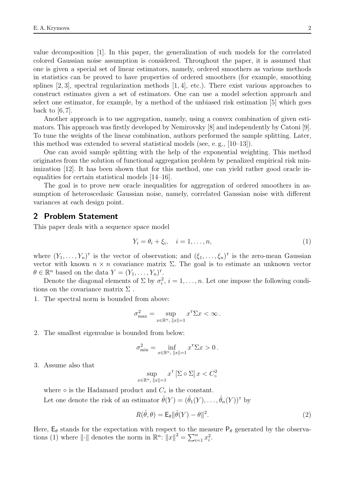value decomposition [1]. In this paper, the generalization of such models for the correlated colored Gaussian noise assumption is considered. Throughout the paper, it is assumed that one is given a special set of linear estimators, namely, ordered smoothers as various methods in statistics can be proved to have properties of ordered smoothers (for example, smoothing splines  $[2, 3]$ , spectral regularization methods  $[1, 4]$ , etc.). There exist various approaches to construct estimates given a set of estimators. One can use a model selection approach and select one estimator, for example, by a method of the unbiased risk estimation [5] which goes back to [6, 7].

Another approach is to use aggregation, namely, using a convex combination of given estimators. This approach was firstly developed by Nemirovsky [8] and independently by Catoni [9]. To tune the weights of the linear combination, authors performed the sample splitting. Later, this method was extended to several statistical models (see, e. g., [10–13]).

One can avoid sample splitting with the help of the exponential weighting. This method originates from the solution of functional aggregation problem by penalized empirical risk minimization [12]. It has been shown that for this method, one can yield rather good oracle inequalities for certain statistical models [14–16].

The goal is to prove new oracle inequalities for aggregation of ordered smoothers in assumption of heteroscedasic Gaussian noise, namely, correlated Gaussian noise with different variances at each design point.

### 2 Problem Statement

This paper deals with a sequence space model

$$
Y_i = \theta_i + \xi_i, \quad i = 1, \dots, n,
$$
\n<sup>(1)</sup>

where  $(Y_1, \ldots, Y_n)$ <sup>T</sup> is the vector of observation; and  $(\xi_1, \ldots, \xi_n)$ <sup>T</sup> is the zero-mean Gaussian vector with known  $n \times n$  covariance matrix  $\Sigma$ . The goal is to estimate an unknown vector  $\theta \in \mathbb{R}^n$  based on the data  $Y = (Y_1, \ldots, Y_n)^{\mathsf{T}}$ .

Denote the diagonal elements of  $\Sigma$  by  $\sigma_i^2$ ,  $i = 1, \ldots, n$ . Let one impose the following conditions on the covariance matrix  $\Sigma$ .

1. The spectral norm is bounded from above:

$$
\sigma_{\max}^2 = \sup_{x \in \mathbb{R}^n, \|x\| = 1} x^{\mathsf{T}} \Sigma x < \infty.
$$

2. The smallest eigenvalue is bounded from below:

$$
\sigma_{\min}^2 = \inf_{x \in \mathbb{R}^n, \|x\| = 1} x^{\mathsf{T}} \Sigma x > 0.
$$

3. Assume also that

$$
\sup_{x \in \mathbb{R}^n, \|x\| = 1} x^{\mathsf{T}} \left[ \Sigma \circ \Sigma \right] x < C_{\circ}^2
$$

where  $\circ$  is the Hadamard product and  $C_{\circ}$  is the constant. Let one denote the risk of an estimator  $\hat{\theta}(Y) = (\hat{\theta}_1(Y), \dots, \hat{\theta}_n(Y))^{\dagger}$  by

$$
R(\hat{\theta}, \theta) = \mathsf{E}_{\theta} ||\hat{\theta}(Y) - \theta||^2.
$$
 (2)

Here,  $E_{\theta}$  stands for the expectation with respect to the measure  $P_{\theta}$  generated by the observations (1) where  $\|\cdot\|$  denotes the norm in  $\mathbb{R}^n$ :  $||x||^2 = \sum_{i=1}^n x_i^2$ .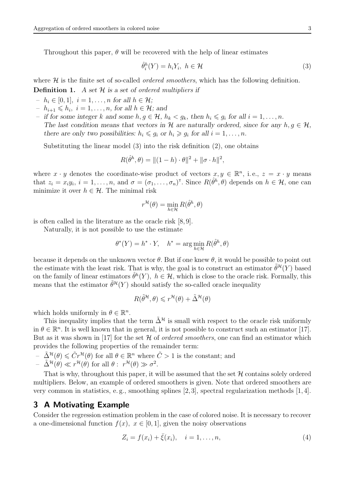Throughout this paper,  $\theta$  will be recovered with the help of linear estimates

$$
\hat{\theta}_i^h(Y) = h_i Y_i, \ h \in \mathcal{H} \tag{3}
$$

where  $\mathcal{H}$  is the finite set of so-called *ordered smoothers*, which has the following definition.

**Definition 1.** A set  $\mathcal{H}$  is a set of ordered multipliers if

- $h_i \in [0, 1], i = 1, \ldots, n$  for all  $h \in \mathcal{H}$ ;
- $-h_{i+1} \leqslant h_i, i = 1, \ldots, n$ , for all  $h \in \mathcal{H}$ ; and
- if for some integer k and some  $h, g \in \mathcal{H}$ ,  $h_k < g_k$ , then  $h_i \leq g_i$  for all  $i = 1, ..., n$ . The last condition means that vectors in H are naturally ordered, since for any  $h, g \in H$ , there are only two possibilities:  $h_i \leq g_i$  or  $h_i \geq g_i$  for all  $i = 1, ..., n$ .

Substituting the linear model (3) into the risk definition (2), one obtains

$$
R(\hat{\theta}^h, \theta) = || (1 - h) \cdot \theta ||^2 + || \sigma \cdot h ||^2,
$$

where  $x \cdot y$  denotes the coordinate-wise product of vectors  $x, y \in \mathbb{R}^n$ , i.e.,  $z = x \cdot y$  means that  $z_i = x_i y_i$ ,  $i = 1, \ldots, n$ , and  $\sigma = (\sigma_1, \ldots, \sigma_n)^\mathsf{T}$ . Since  $R(\hat{\theta}^h, \theta)$  depends on  $h \in \mathcal{H}$ , one can minimize it over  $h \in \mathcal{H}$ . The minimal risk

$$
r^{\mathcal{H}}(\theta) = \min_{h \in \mathcal{H}} R(\hat{\theta}^h, \theta)
$$

is often called in the literature as the oracle risk [8, 9].

Naturally, it is not possible to use the estimate

$$
\theta^*(Y) = h^* \cdot Y, \quad h^* = \arg\min_{h \in \mathcal{H}} R(\hat{\theta}^h, \theta)
$$

because it depends on the unknown vector  $\theta$ . But if one knew  $\theta$ , it would be possible to point out the estimate with the least risk. That is why, the goal is to construct an estimator  $\tilde{\theta}^{\mathcal{H}}(Y)$  based on the family of linear estimators  $\hat{\theta}^h(Y)$ ,  $h \in \mathcal{H}$ , which is close to the oracle risk. Formally, this means that the estimator  $\tilde{\theta}^{\mathcal{H}}(Y)$  should satisfy the so-called oracle inequality

$$
R(\tilde{\theta}^{\mathcal{H}}, \theta) \leqslant r^{\mathcal{H}}(\theta) + \tilde{\Delta}^{\mathcal{H}}(\theta)
$$

which holds uniformly in  $\theta \in \mathbb{R}^n$ .

This inequality implies that the term  $\tilde{\Delta}^{\mathcal{H}}$  is small with respect to the oracle risk uniformly in  $\theta \in \mathbb{R}^n$ . It is well known that in general, it is not possible to construct such an estimator [17]. But as it was shown in [17] for the set  $H$  of *ordered smoothers*, one can find an estimator which provides the following properties of the remainder term:

- $-\tilde{\Delta}^{\mathcal{H}}(\theta) \leq \tilde{C}r^{\mathcal{H}}(\theta)$  for all  $\theta \in \mathbb{R}^{n}$  where  $\tilde{C} > 1$  is the constant; and
- $\tilde{\Delta}^{\mathcal{H}}(\theta) \ll r^{\mathcal{H}}(\theta) \text{ for all } \theta: r^{\mathcal{H}}(\theta) \gg \sigma^2.$

That is why, throughout this paper, it will be assumed that the set  $H$  contains solely ordered multipliers. Below, an example of ordered smoothers is given. Note that ordered smoothers are very common in statistics, e.g., smoothing splines  $[2,3]$ , spectral regularization methods  $[1,4]$ .

### 3 A Motivating Example

Consider the regression estimation problem in the case of colored noise. It is necessary to recover a one-dimensional function  $f(x)$ ,  $x \in [0, 1]$ , given the noisy observations

$$
Z_i = f(x_i) + \bar{\xi}(x_i), \quad i = 1, ..., n,
$$
\n(4)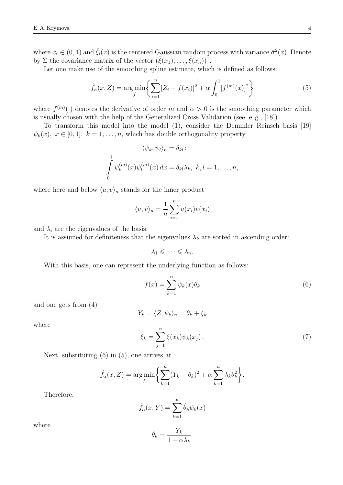where  $x_i \in (0,1)$  and  $\bar{\xi}_i(x)$  is the centered Gaussian random process with variance  $\bar{\sigma}^2(x)$ . Denote by  $\bar{\Sigma}$  the covariance matrix of the vector  $(\bar{\xi}(x_1), \ldots, \bar{\xi}(x_n))^{\dagger}$ .

Let one make use of the smoothing spline estimate, which is defined as follows:

$$
\hat{f}_{\alpha}(x, Z) = \underset{f}{\arg\min} \left\{ \sum_{i=1}^{n} [Z_i - f(x_i)]^2 + \alpha \int_0^1 [f^{(m)}(x)]^2 \right\} \tag{5}
$$

where  $f^{(m)}(\cdot)$  denotes the derivative of order m and  $\alpha > 0$  is the smoothing parameter which is usually chosen with the help of the Generalized Cross Validation (see, e. g., [18]).

To transform this model into the model (1), consider the Demmler–Reinsch basis [19]  $\psi_k(x), x \in [0,1], k = 1, \ldots, n$ , which has double orthogonality property

$$
\langle \psi_k, \psi_l \rangle_n = \delta_{kl} ;
$$
  

$$
\int_0^1 \psi_k^{(m)}(x) \psi_l^{(m)}(x) dx = \delta_{kl} \lambda_k, \ k, l = 1, \dots, n,
$$

where here and below  $\langle u, v \rangle_n$  stands for the inner product

$$
\langle u, v \rangle_n = \frac{1}{n} \sum_{i=1}^n u(x_i) v(x_i)
$$

and  $\lambda_i$  are the eigenvalues of the basis.

It is assumed for definiteness that the eigenvalues  $\lambda_k$  are sorted in ascending order:

$$
\lambda_1\leqslant\cdots\leqslant\lambda_n.
$$

With this basis, one can represent the underlying function as follows:

$$
f(x) = \sum_{k=1}^{n} \psi_k(x)\theta_k
$$
 (6)

and one gets from (4)

$$
Y_k = \langle Z, \psi_k \rangle_n = \theta_k + \xi_k
$$

where

$$
\xi_k = \sum_{j=1}^n \bar{\xi}(x_k) \psi_k(x_j) \,. \tag{7}
$$

Next, substituting (6) in (5), one arrives at

$$
\hat{f}_{\alpha}(x, Z) = \underset{f}{\arg\min} \left\{ \sum_{k=1}^{n} (Y_k - \theta_k)^2 + \alpha \sum_{k=1}^{n} \lambda_k \theta_k^2 \right\}.
$$

Therefore,

$$
\hat{f}_{\alpha}(x, Y) = \sum_{k=1}^{n} \hat{\theta}_{k} \psi_{k}(x)
$$

where

$$
\overline{4}
$$

$$
\hat{\theta}_k = \frac{Y_k}{1 + \alpha \lambda_k}.
$$

 $\sim$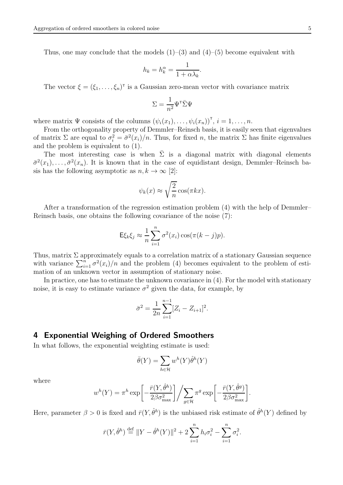Thus, one may conclude that the models  $(1)$ – $(3)$  and  $(4)$ – $(5)$  become equivalent with

$$
h_k = h_k^{\alpha} = \frac{1}{1 + \alpha \lambda_k}.
$$

The vector  $\xi = (\xi_1, \ldots, \xi_n)^\text{T}$  is a Gaussian zero-mean vector with covariance matrix

$$
\Sigma = \frac{1}{n^2} \Psi^{\mathsf{T}} \bar{\Sigma} \Psi
$$

where matrix  $\Psi$  consists of the columns  $(\psi_i(x_1), \ldots, \psi_i(x_n))^{\mathsf{T}}, i = 1, \ldots, n$ .

From the orthogonality property of Demmler–Reinsch basis, it is easily seen that eigenvalues of matrix  $\Sigma$  are equal to  $\sigma_i^2 = \bar{\sigma}^2(x_i)/n$ . Thus, for fixed n, the matrix  $\Sigma$  has finite eigenvalues and the problem is equivalent to (1).

The most interesting case is when  $\overline{\Sigma}$  is a diagonal matrix with diagonal elements  $\bar{\sigma}^2(x_1), \ldots, \bar{\sigma}^2(x_n)$ . It is known that in the case of equidistant design, Demmler–Reinsch basis has the following asymptotic as  $n, k \to \infty$  [2]:

$$
\psi_k(x) \approx \sqrt{\frac{2}{n}} \cos(\pi kx).
$$

After a transformation of the regression estimation problem (4) with the help of Demmler– Reinsch basis, one obtains the following covariance of the noise (7):

$$
\mathsf{E}\xi_k\xi_j \approx \frac{1}{n}\sum_{i=1}^n \sigma^2(x_i)\cos(\pi(k-j)p).
$$

Thus, matrix  $\Sigma$  approximately equals to a correlation matrix of a stationary Gaussian sequence with variance  $\sum_{i=1}^{n} \sigma^2(x_i)/n$  and the problem (4) becomes equivalent to the problem of estimation of an unknown vector in assumption of stationary noise.

In practice, one has to estimate the unknown covariance in  $(4)$ . For the model with stationary noise, it is easy to estimate variance  $\sigma^2$  given the data, for example, by

$$
\bar{\sigma}^2 = \frac{1}{2n} \sum_{i=1}^{n-1} [Z_i - Z_{i+1}]^2.
$$

# 4 Exponential Weighing of Ordered Smoothers

In what follows, the exponential weighting estimate is used:

$$
\bar{\theta}(Y) = \sum_{h \in \mathcal{H}} w^h(Y) \hat{\theta}^h(Y)
$$

where

$$
w^{h}(Y) = \pi^{h} \exp\left[-\frac{\bar{r}(Y, \hat{\theta}^{h})}{2\beta \sigma_{\max}^{2}}\right] \bigg/ \sum_{g \in \mathcal{H}} \pi^{g} \exp\left[-\frac{\bar{r}(Y, \hat{\theta}^{g})}{2\beta \sigma_{\max}^{2}}\right].
$$

Here, parameter  $\beta > 0$  is fixed and  $\bar{r}(Y, \hat{\theta}^h)$  is the unbiased risk estimate of  $\hat{\theta}^h(Y)$  defined by

$$
\bar{r}(Y, \hat{\theta}^h) \stackrel{\text{def}}{=} \|Y - \hat{\theta}^h(Y)\|^2 + 2 \sum_{i=1}^n h_i \sigma_i^2 - \sum_{i=1}^n \sigma_i^2.
$$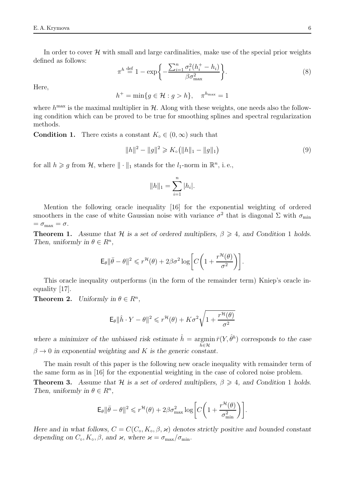In order to cover  $\mathcal{H}$  with small and large cardinalities, make use of the special prior weights defined as follows:

$$
\pi^h \stackrel{\text{def}}{=} 1 - \exp\bigg\{-\frac{\sum_{i=1}^n \sigma_i^2 (h_i^+ - h_i)}{\beta \sigma_{\text{max}}^2}\bigg\}.
$$
\n(8)

Here,

$$
h^+ = \min\{g \in \mathcal{H} : g > h\}, \quad \pi^{h_{\max}} = 1
$$

where  $h^{\text{max}}$  is the maximal multiplier in  $H$ . Along with these weights, one needs also the following condition which can be proved to be true for smoothing splines and spectral regularization methods.

**Condition 1.** There exists a constant  $K_0 \in (0, \infty)$  such that

$$
||h||^2 - ||g||^2 \ge K_0 (||h||_1 - ||g||_1)
$$
\n(9)

for all  $h \ge g$  from  $\mathcal{H}$ , where  $\|\cdot\|_1$  stands for the  $l_1$ -norm in  $\mathbb{R}^n$ , i.e.,

$$
||h||_1 = \sum_{i=1}^n |h_i|.
$$

Mention the following oracle inequality [16] for the exponential weighting of ordered smoothers in the case of white Gaussian noise with variance  $\sigma^2$  that is diagonal  $\Sigma$  with  $\sigma_{\min}$  $=\sigma_{\text{max}} = \sigma.$ 

**Theorem 1.** Assume that H is a set of ordered multipliers,  $\beta \geq 4$ , and Condition 1 holds. Then, uniformly in  $\theta \in R^n$ ,

$$
\mathsf{E}_{\theta} \|\bar{\theta} - \theta\|^2 \leqslant r^{\mathcal{H}}(\theta) + 2\beta \sigma^2 \log \bigg[ C \bigg( 1 + \frac{r^{\mathcal{H}}(\theta)}{\sigma^2} \bigg) \bigg].
$$

This oracle inequality outperforms (in the form of the remainder term) Kniep's oracle inequality [17].

**Theorem 2.** Uniformly in  $\theta \in R^n$ ,

$$
\mathsf{E}_{\theta} \|\hat{h} \cdot Y - \theta\|^2 \leqslant r^{\mathcal{H}}(\theta) + K\sigma^2 \sqrt{1 + \frac{r^{\mathcal{H}}(\theta)}{\sigma^2}}
$$

where a minimizer of the unbiased risk estimate  $\hat{h} = \argmin \bar{r}(Y, \hat{\theta}^h)$  corresponds to the case  $h \in H$  $\beta \to 0$  in exponential weighting and K is the generic constant.

The main result of this paper is the following new oracle inequality with remainder term of the same form as in [16] for the exponential weighting in the case of colored noise problem. **Theorem 3.** Assume that H is a set of ordered multipliers,  $\beta \geq 4$ , and Condition 1 holds. Then, uniformly in  $\theta \in \mathbb{R}^n$ ,

$$
\mathsf{E}_{\theta} \|\bar{\theta} - \theta\|^2 \leqslant r^{\mathcal{H}}(\theta) + 2\beta \sigma_{\max}^2 \log \bigg[ C \bigg( 1 + \frac{r^{\mathcal{H}}(\theta)}{\sigma_{\min}^2} \bigg) \bigg].
$$

Here and in what follows,  $C = C(C<sub>o</sub>, K<sub>o</sub>, \beta, \varkappa)$  denotes strictly positive and bounded constant depending on  $C_0$ ,  $K_0$ ,  $\beta$ , and  $\varkappa$ , where  $\varkappa = \sigma_{\text{max}}/\sigma_{\text{min}}$ .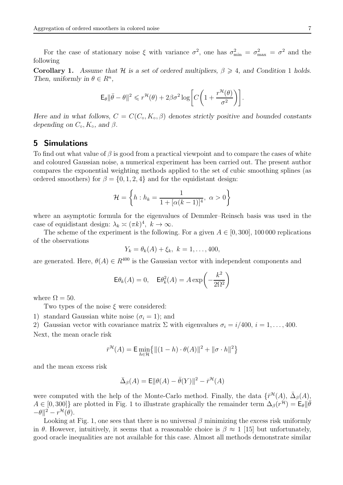For the case of stationary noise  $\xi$  with variance  $\sigma^2$ , one has  $\sigma_{\min}^2 = \sigma_{\max}^2 = \sigma^2$  and the following

**Corollary 1.** Assume that H is a set of ordered multipliers,  $\beta \geq 4$ , and Condition 1 holds. Then, uniformly in  $\theta \in R^n$ ,

$$
\mathsf{E}_{\theta} \|\bar{\theta} - \theta\|^2 \leqslant r^{\mathcal{H}}(\theta) + 2\beta \sigma^2 \log \bigg[ C \bigg( 1 + \frac{r^{\mathcal{H}}(\theta)}{\sigma^2} \bigg) \bigg].
$$

Here and in what follows,  $C = C(C_0, K_0, \beta)$  denotes strictly positive and bounded constants depending on  $C_{\circ}$ ,  $K_{\circ}$ , and  $\beta$ .

# 5 Simulations

To find out what value of  $\beta$  is good from a practical viewpoint and to compare the cases of white and coloured Gaussian noise, a numerical experiment has been carried out. The present author compares the exponential weighting methods applied to the set of cubic smoothing splines (as ordered smoothers) for  $\beta = \{0, 1, 2, 4\}$  and for the equidistant design:

$$
\mathcal{H} = \left\{ h : h_k = \frac{1}{1 + [\alpha(k-1)]^4}, \ \alpha > 0 \right\}
$$

where an asymptotic formula for the eigenvalues of Demmler–Reinsch basis was used in the case of equidistant design:  $\lambda_k \asymp (\pi k)^4$ ,  $k \to \infty$ .

The scheme of the experiment is the following. For a given  $A \in [0, 300]$ , 100 000 replications of the observations

$$
Y_k = \theta_k(A) + \xi_k, \ k = 1, \ldots, 400,
$$

are generated. Here,  $\theta(A) \in R^{400}$  is the Gaussian vector with independent components and

$$
\mathsf{E}\theta_k(A) = 0, \quad \mathsf{E}\theta_k^2(A) = A \exp\left(-\frac{k^2}{2\Omega^2}\right)
$$

where  $\Omega = 50$ .

Two types of the noise  $\xi$  were considered:

1) standard Gaussian white noise  $(\sigma_i = 1)$ ; and

2) Gaussian vector with covariance matrix  $\Sigma$  with eigenvalues  $\sigma_i = i/400, i = 1, \ldots, 400$ .

Next, the mean oracle risk

$$
\bar{r}^{\mathcal{H}}(A) = \mathsf{E} \min_{h \in \mathcal{H}} \{ \| (1-h) \cdot \theta(A) \|^2 + \| \sigma \cdot h \|^2 \}
$$

and the mean excess risk

$$
\bar{\Delta}_{\beta}(A) = \mathsf{E} \|\theta(A) - \bar{\theta}(Y)\|^2 - \bar{r}^{\mathcal{H}}(A)
$$

were computed with the help of the Monte-Carlo method. Finally, the data  $\{\bar{r}^{\mathcal{H}}(A), \bar{\Delta}_{\beta}(A),\}$  $A \in [0, 300]$ } are plotted in Fig. 1 to illustrate graphically the remainder term  $\Delta_{\beta}(r^{\mathcal{H}}) = \mathsf{E}_{\theta} || \bar{\theta}$  $-\theta\Vert^2-r^{\mathcal{H}}(\theta).$ 

Looking at Fig. 1, one sees that there is no universal  $\beta$  minimizing the excess risk uniformly in θ. However, intuitively, it seems that a reasonable choice is  $\beta \approx 1$  [15] but unfortunately, good oracle inequalities are not available for this case. Almost all methods demonstrate similar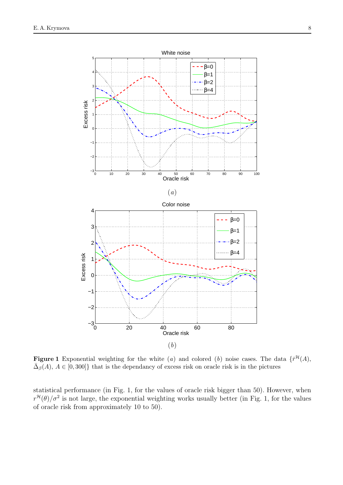

**Figure 1** Exponential weighting for the white (a) and colored (b) noise cases. The data  $\{\bar{r}^{\mathcal{H}}(A),\}$  $\bar{\Delta}_{\beta}(A), A \in [0, 300]$  that is the dependancy of excess risk on oracle risk is in the pictures

statistical performance (in Fig. 1, for the values of oracle risk bigger than 50). However, when  $r^{\mathcal{H}}(\theta)/\sigma^2$  is not large, the exponential weighting works usually better (in Fig. 1, for the values of oracle risk from approximately 10 to 50).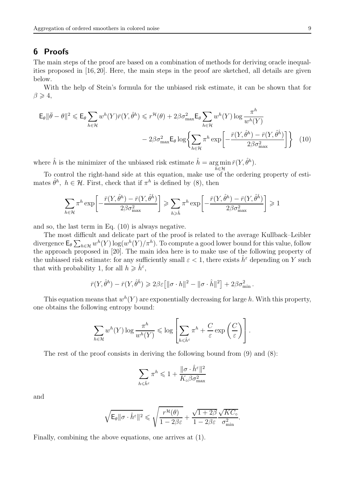# 6 Proofs

The main steps of the proof are based on a combination of methods for deriving oracle inequalities proposed in [16, 20]. Here, the main steps in the proof are sketched, all details are given below.

With the help of Stein's formula for the unbiased risk estimate, it can be shown that for  $\beta \geqslant 4$ ,

$$
\mathsf{E}_{\theta} \|\bar{\theta} - \theta\|^2 \leq \mathsf{E}_{\theta} \sum_{h \in \mathcal{H}} w^h(Y) \bar{r}(Y, \hat{\theta}^h) \leq r^{\mathcal{H}}(\theta) + 2\beta \sigma_{\max}^2 \mathsf{E}_{\theta} \sum_{h \in \mathcal{H}} w^h(Y) \log \frac{\pi^h}{w^h(Y)} - 2\beta \sigma_{\max}^2 \mathsf{E}_{\theta} \log \left\{ \sum_{h \in \mathcal{H}} \pi^h \exp \left[ -\frac{\bar{r}(Y, \hat{\theta}^h) - \bar{r}(Y, \hat{\theta}^h)}{2\beta \sigma_{\max}^2} \right] \right\} \tag{10}
$$

where  $\hat{h}$  is the minimizer of the unbiased risk estimate  $\hat{h} = \arg \min \bar{r}(Y, \hat{\theta}^h)$ .  $h \in H$ 

To control the right-hand side at this equation, make use of the ordering property of estimates  $\hat{\theta}^h$ ,  $h \in \mathcal{H}$ . First, check that if  $\pi^h$  is defined by (8), then

$$
\sum_{h \in \mathcal{H}} \pi^h \exp\left[-\frac{\bar{r}(Y, \hat{\theta}^h) - \bar{r}(Y, \hat{\theta}^{\hat{h}})}{2\beta \sigma_{\max}^2}\right] \ge \sum_{h \ge \hat{h}} \pi^h \exp\left[-\frac{\bar{r}(Y, \hat{\theta}^h) - \bar{r}(Y, \hat{\theta}^{\hat{h}})}{2\beta \sigma_{\max}^2}\right] \ge 1
$$

and so, the last term in Eq. (10) is always negative.

The most difficult and delicate part of the proof is related to the average Kullback–Leibler divergence  $\mathsf{E}_{\theta} \sum_{h \in \mathcal{H}} w^h(Y) \log(w^h(Y)/\pi^h)$ . To compute a good lower bound for this value, follow the approach proposed in [20]. The main idea here is to make use of the following property of the unbiased risk estimate: for any sufficiently small  $\varepsilon < 1$ , there exists  $h^{\varepsilon}$  depending on Y such that with probability 1, for all  $h \geqslant \hat{h}^{\varepsilon}$ ,

$$
\bar{r}(Y,\hat{\theta}^h) - \bar{r}(Y,\hat{\theta}^{\hat{h}}) \geq 2\beta \varepsilon \left[ \|\sigma \cdot h\|^2 - \|\sigma \cdot \hat{h}\|^2 \right] + 2\beta \sigma_{\min}^2.
$$

This equation means that  $w^h(Y)$  are exponentially decreasing for large h. With this property, one obtains the following entropy bound:

$$
\sum_{h \in \mathcal{H}} w^h(Y) \log \frac{\pi^h}{w^h(Y)} \leqslant \log \left[ \sum_{h \leqslant \hat{h}^{\varepsilon}} \pi^h + \frac{C}{\varepsilon} \exp \left( \frac{C}{\varepsilon} \right) \right].
$$

The rest of the proof consists in deriving the following bound from (9) and (8):

$$
\sum_{h\leqslant \hat h^{\varepsilon}}\pi^h\leqslant 1+\frac{\|\sigma\cdot \hat h^{\varepsilon}\|^2}{K_{\mathrm{o}}\beta\sigma_{\mathrm{max}}^2}
$$

and

$$
\sqrt{\mathsf{E}_\theta \|\sigma \cdot \widehat{h}^\varepsilon\|^2} \leqslant \sqrt{\frac{r^{\mathcal{H}}(\theta)}{1-2\beta\varepsilon}} + \frac{\sqrt{1+2\beta}}{1-2\beta\varepsilon}\frac{\sqrt{KC_\circ}}{\sigma_{\min}^2}.
$$

Finally, combining the above equations, one arrives at (1).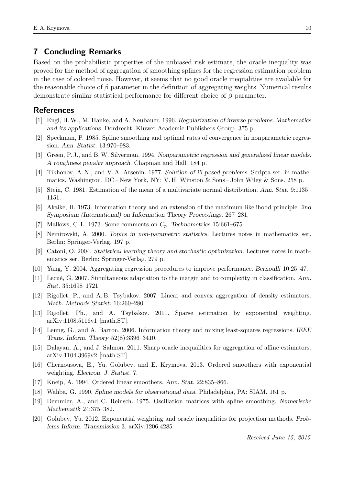# 7 Concluding Remarks

Based on the probabilistic properties of the unbiased risk estimate, the oracle inequality was proved for the method of aggregation of smoothing splines for the regression estimation problem in the case of colored noise. However, it seems that no good oracle inequalities are available for the reasonable choice of  $\beta$  parameter in the definition of aggregating weights. Numerical results demonstrate similar statistical performance for different choice of  $\beta$  parameter.

# References

- [1] Engl, H. W., M. Hanke, and A. Neubauer. 1996. Regularization of inverse problems. Mathematics and its applications. Dordrecht: Kluwer Academic Publishers Group. 375 p.
- [2] Speckman, P. 1985. Spline smoothing and optimal rates of convergence in nonparametric regression. Ann. Statist. 13:970–983.
- [3] Green, P. J., and B. W. Silverman. 1994. Nonparametric regression and generalized linear models. A roughness penalty approach. Chapman and Hall. 184 p.
- [4] Tikhonov, A. N., and V. A. Arsenin. 1977. Solution of ill-posed problems. Scripta ser. in mathematics. Washington, DC – New York, NY: V. H. Winston & Sons – John Wiley & Sons. 258 p.
- [5] Stein, C. 1981. Estimation of the mean of a multivariate normal distribution. Ann. Stat. 9:1135– 1151.
- [6] Akaike, H. 1973. Information theory and an extension of the maximum likelihood principle. 2nd Symposium (International) on Information Theory Proceedings. 267–281.
- [7] Mallows, C. L. 1973. Some comments on  $C_p$ . Technometrics 15:661–675.
- [8] Nemirovski, A. 2000. Topics in non-parametric statistics. Lectures notes in mathematics ser. Berlin: Springer-Verlag. 197 p.
- [9] Catoni, O. 2004. Statistical learning theory and stochastic optimization. Lectures notes in mathematics ser. Berlin: Springer-Verlag. 279 p.
- [10] Yang, Y. 2004. Aggregating regression procedures to improve performance. Bernoulli 10:25–47.
- [11] Lecué, G. 2007. Simultaneous adaptation to the margin and to complexity in classification. Ann. Stat. 35:1698–1721.
- [12] Rigollet, P., and A. B. Tsybakov. 2007. Linear and convex aggregation of density estimators. Math. Methods Statist. 16:260–280.
- [13] Rigollet, Ph., and A. Tsybakov. 2011. Sparse estimation by exponential weighting. arXiv:1108.5116v1 [math.ST].
- [14] Leung, G., and A. Barron. 2006. Information theory and mixing least-squares regressions. IEEE Trans. Inform. Theory 52(8):3396–3410.
- [15] Dalayan, A., and J. Salmon. 2011. Sharp oracle inequalities for aggregation of affine estimators. arXiv:1104.3969v2 [math.ST].
- [16] Chernousova, E., Yu. Golubev, and E. Krymova. 2013. Ordered smoothers with exponential weighting. Electron. J. Statist. 7.
- [17] Kneip, A. 1994. Ordered linear smoothers. Ann. Stat. 22:835–866.
- [18] Wahba, G. 1990. Spline models for observational data. Philadelphia, PA: SIAM. 161 p.
- [19] Demmler, A., and C. Reinsch. 1975. Oscillation matrices with spline smoothing. Numerische Mathematik 24:375–382.
- [20] Golubev, Yu. 2012. Exponential weighting and oracle inequalities for projection methods. Problems Inform. Transmission 3. arXiv:1206.4285.